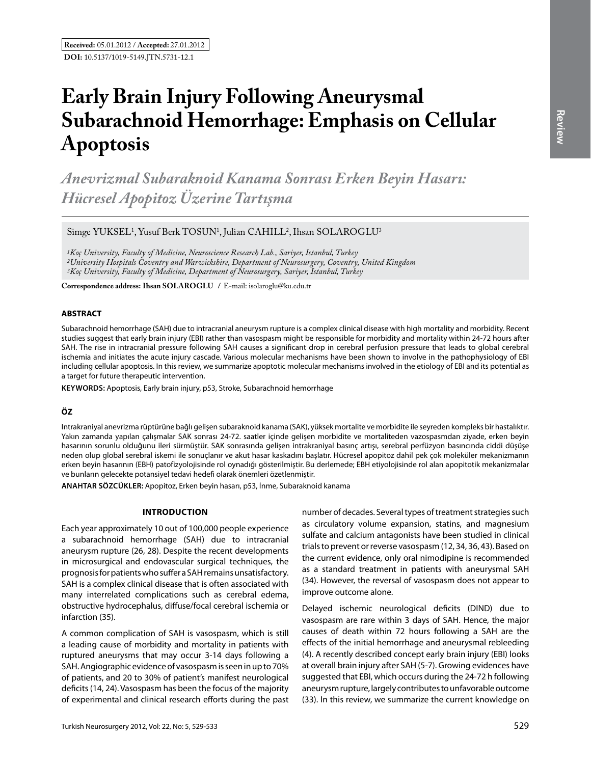# **Early Brain Injury Following Aneurysmal Subarachnoid Hemorrhage: Emphasis on Cellular Apoptosis**

*Anevrizmal Subaraknoid Kanama Sonrası Erken Beyin Hasarı: Hücresel Apopitoz Üzerine Tartışma* 

Simge YUKSEL<sup>1</sup>, Yusuf Berk TOSUN<sup>1</sup>, Julian CAHILL<sup>2</sup>, Ihsan SOLAROGLU<sup>3</sup>

*1Koç University, Faculty of Medicine, Neuroscience Research Lab., Sariyer, Istanbul, Turkey 2University Hospitals Coventry and Warwickshire, Department of Neurosurgery, Coventry, United Kingdom 3Koç University, Faculty of Medicine, Department of Neurosurgery, Sariyer, Istanbul, Turkey*

**Correspondence address: Ihsan SOLAROGLU / E-mail: isolaroglu@ku.edu.tr** 

#### **ABSTRACT**

Subarachnoid hemorrhage (SAH) due to intracranial aneurysm rupture is a complex clinical disease with high mortality and morbidity. Recent studies suggest that early brain injury (EBI) rather than vasospasm might be responsible for morbidity and mortality within 24-72 hours after SAH. The rise in intracranial pressure following SAH causes a significant drop in cerebral perfusion pressure that leads to global cerebral ischemia and initiates the acute injury cascade. Various molecular mechanisms have been shown to involve in the pathophysiology of EBI including cellular apoptosis. In this review, we summarize apoptotic molecular mechanisms involved in the etiology of EBI and its potential as a target for future therapeutic intervention.

**Keywords:** Apoptosis, Early brain injury, p53, Stroke, Subarachnoid hemorrhage

## **ÖZ**

Intrakraniyal anevrizma rüptürüne bağlı gelişen subaraknoid kanama (SAK), yüksek mortalite ve morbidite ile seyreden kompleks bir hastalıktır. Yakın zamanda yapılan çalışmalar SAK sonrası 24-72. saatler içinde gelişen morbidite ve mortaliteden vazospasmdan ziyade, erken beyin hasarının sorunlu olduğunu ileri sürmüştür. SAK sonrasında gelişen intrakraniyal basınç artışı, serebral perfüzyon basıncında ciddi düşüşe neden olup global serebral iskemi ile sonuçlanır ve akut hasar kaskadını başlatır. Hücresel apopitoz dahil pek çok moleküler mekanizmanın erken beyin hasarının (EBH) patofizyolojisinde rol oynadığı gösterilmiştir. Bu derlemede; EBH etiyolojisinde rol alan apopitotik mekanizmalar ve bunların gelecekte potansiyel tedavi hedefi olarak önemleri özetlenmiştir.

**ANAHTAR SÖZCÜKLER:** Apopitoz, Erken beyin hasarı, p53, İnme, Subaraknoid kanama

#### **Introduction**

Each year approximately 10 out of 100,000 people experience a subarachnoid hemorrhage (SAH) due to intracranial aneurysm rupture (26, 28). Despite the recent developments in microsurgical and endovascular surgical techniques, the prognosis for patients who suffer a SAH remains unsatisfactory. SAH is a complex clinical disease that is often associated with many interrelated complications such as cerebral edema, obstructive hydrocephalus, diffuse/focal cerebral ischemia or infarction (35).

A common complication of SAH is vasospasm, which is still a leading cause of morbidity and mortality in patients with ruptured aneurysms that may occur 3-14 days following a SAH. Angiographic evidence of vasospasm is seen in up to 70% of patients, and 20 to 30% of patient's manifest neurological deficits (14, 24). Vasospasm has been the focus of the majority of experimental and clinical research efforts during the past number of decades. Several types of treatment strategies such as circulatory volume expansion, statins, and magnesium sulfate and calcium antagonists have been studied in clinical trials to prevent or reverse vasospasm (12, 34, 36, 43). Based on the current evidence, only oral nimodipine is recommended as a standard treatment in patients with aneurysmal SAH (34). However, the reversal of vasospasm does not appear to improve outcome alone.

Delayed ischemic neurological deficits (DIND) due to vasospasm are rare within 3 days of SAH. Hence, the major causes of death within 72 hours following a SAH are the effects of the initial hemorrhage and aneurysmal rebleeding (4). A recently described concept early brain injury (EBI) looks at overall brain injury after SAH (5-7). Growing evidences have suggested that EBI, which occurs during the 24-72 h following aneurysm rupture, largely contributes to unfavorable outcome (33). In this review, we summarize the current knowledge on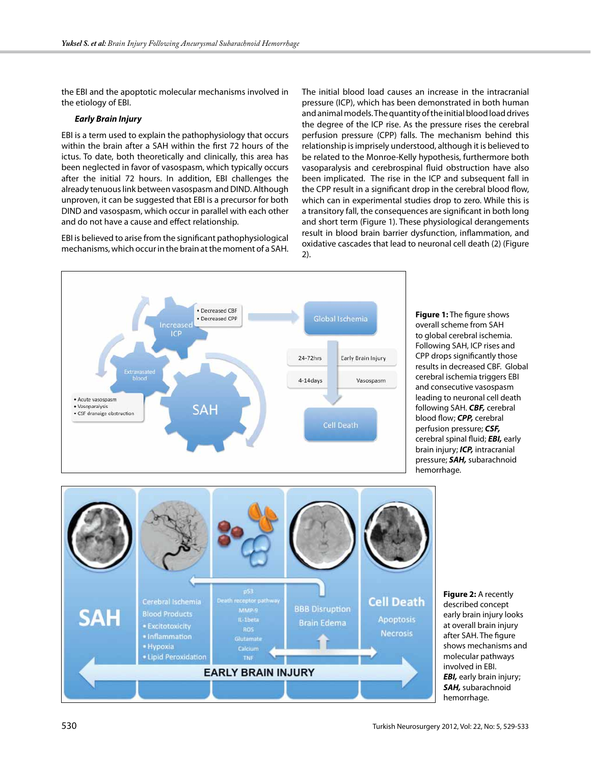the EBI and the apoptotic molecular mechanisms involved in the etiology of EBI.

## *Early Brain Injury*

EBI is a term used to explain the pathophysiology that occurs within the brain after a SAH within the first 72 hours of the ictus. To date, both theoretically and clinically, this area has been neglected in favor of vasospasm, which typically occurs after the initial 72 hours. In addition, EBI challenges the already tenuous link between vasospasm and DIND. Although unproven, it can be suggested that EBI is a precursor for both DIND and vasospasm, which occur in parallel with each other and do not have a cause and effect relationship.

EBI is believed to arise from the significant pathophysiological mechanisms, which occur in the brain at the moment of a SAH. The initial blood load causes an increase in the intracranial pressure (ICP), which has been demonstrated in both human and animal models. The quantity of the initial blood load drives the degree of the ICP rise. As the pressure rises the cerebral perfusion pressure (CPP) falls. The mechanism behind this relationship is imprisely understood, although it is believed to be related to the Monroe-Kelly hypothesis, furthermore both vasoparalysis and cerebrospinal fluid obstruction have also been implicated. The rise in the ICP and subsequent fall in the CPP result in a significant drop in the cerebral blood flow, which can in experimental studies drop to zero. While this is a transitory fall, the consequences are significant in both long and short term (Figure 1). These physiological derangements result in blood brain barrier dysfunction, inflammation, and oxidative cascades that lead to neuronal cell death (2) (Figure 2).



**Figure 1:** The figure shows overall scheme from SAH to global cerebral ischemia. Following SAH, ICP rises and CPP drops significantly those results in decreased CBF. Global cerebral ischemia triggers EBI and consecutive vasospasm leading to neuronal cell death following SAH. *CBF,* cerebral blood flow; *CPP,* cerebral perfusion pressure; *CSF,* cerebral spinal fluid; *EBI,* early brain injury; *ICP,* intracranial pressure; *SAH,* subarachnoid hemorrhage.



**Figure 2:** A recently described concept early brain injury looks at overall brain injury after SAH. The figure shows mechanisms and molecular pathways involved in EBI. *EBI,* early brain injury; *SAH,* subarachnoid hemorrhage.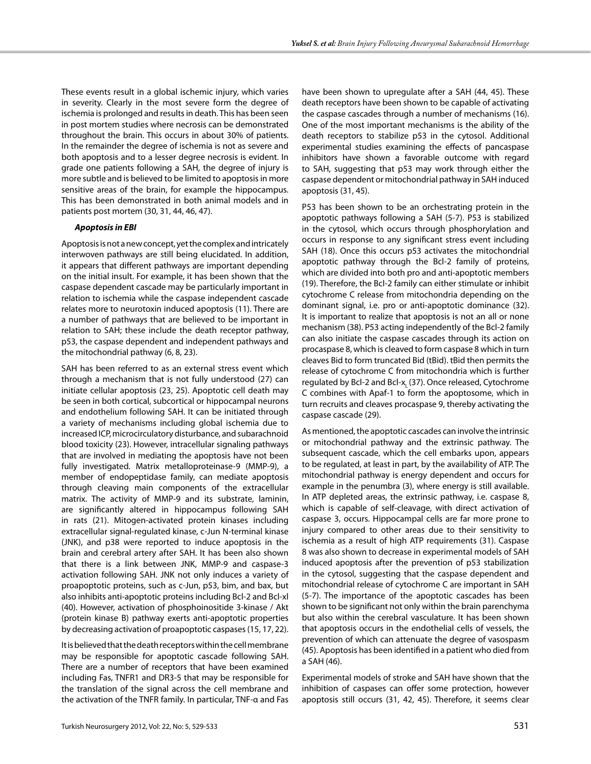These events result in a global ischemic injury, which varies in severity. Clearly in the most severe form the degree of ischemia is prolonged and results in death. This has been seen in post mortem studies where necrosis can be demonstrated throughout the brain. This occurs in about 30% of patients. In the remainder the degree of ischemia is not as severe and both apoptosis and to a lesser degree necrosis is evident. In grade one patients following a SAH, the degree of injury is more subtle and is believed to be limited to apoptosis in more sensitive areas of the brain, for example the hippocampus. This has been demonstrated in both animal models and in patients post mortem (30, 31, 44, 46, 47).

#### *Apoptosis in EBI*

Apoptosis is not a new concept, yet the complex and intricately interwoven pathways are still being elucidated. In addition, it appears that different pathways are important depending on the initial insult. For example, it has been shown that the caspase dependent cascade may be particularly important in relation to ischemia while the caspase independent cascade relates more to neurotoxin induced apoptosis (11). There are a number of pathways that are believed to be important in relation to SAH; these include the death receptor pathway, p53, the caspase dependent and independent pathways and the mitochondrial pathway (6, 8, 23).

SAH has been referred to as an external stress event which through a mechanism that is not fully understood (27) can initiate cellular apoptosis (23, 25). Apoptotic cell death may be seen in both cortical, subcortical or hippocampal neurons and endothelium following SAH. It can be initiated through a variety of mechanisms including global ischemia due to increased ICP, microcirculatory disturbance, and subarachnoid blood toxicity (23). However, intracellular signaling pathways that are involved in mediating the apoptosis have not been fully investigated. Matrix metalloproteinase-9 (MMP-9), a member of endopeptidase family, can mediate apoptosis through cleaving main components of the extracellular matrix. The activity of MMP-9 and its substrate, laminin, are significantly altered in hippocampus following SAH in rats (21). Mitogen-activated protein kinases including extracellular signal-regulated kinase, c-Jun N-terminal kinase (JNK), and p38 were reported to induce apoptosis in the brain and cerebral artery after SAH. It has been also shown that there is a link between JNK, MMP-9 and caspase-3 activation following SAH. JNK not only induces a variety of proapoptotic proteins, such as c-Jun, p53, bim, and bax, but also inhibits anti-apoptotic proteins including Bcl-2 and Bcl-xl (40). However, activation of phosphoinositide 3-kinase / Akt (protein kinase B) pathway exerts anti-apoptotic properties by decreasing activation of proapoptotic caspases (15, 17, 22).

It is believed that the death receptors within the cell membrane may be responsible for apoptotic cascade following SAH. There are a number of receptors that have been examined including Fas, TNFR1 and DR3-5 that may be responsible for the translation of the signal across the cell membrane and the activation of the TNFR family. In particular, TNF-α and Fas have been shown to upregulate after a SAH (44, 45). These death receptors have been shown to be capable of activating the caspase cascades through a number of mechanisms (16). One of the most important mechanisms is the ability of the death receptors to stabilize p53 in the cytosol. Additional experimental studies examining the effects of pancaspase inhibitors have shown a favorable outcome with regard to SAH, suggesting that p53 may work through either the caspase dependent or mitochondrial pathway in SAH induced apoptosis (31, 45).

P53 has been shown to be an orchestrating protein in the apoptotic pathways following a SAH (5-7). P53 is stabilized in the cytosol, which occurs through phosphorylation and occurs in response to any significant stress event including SAH (18). Once this occurs p53 activates the mitochondrial apoptotic pathway through the Bcl-2 family of proteins, which are divided into both pro and anti-apoptotic members (19). Therefore, the Bcl-2 family can either stimulate or inhibit cytochrome C release from mitochondria depending on the dominant signal, i.e. pro or anti-apoptotic dominance (32). It is important to realize that apoptosis is not an all or none mechanism (38). P53 acting independently of the Bcl-2 family can also initiate the caspase cascades through its action on procaspase 8, which is cleaved to form caspase 8 which in turn cleaves Bid to form truncated Bid (tBid). tBid then permits the release of cytochrome C from mitochondria which is further regulated by Bcl-2 and Bcl-x<sub>1</sub> (37). Once released, Cytochrome C combines with Apaf-1 to form the apoptosome, which in turn recruits and cleaves procaspase 9, thereby activating the caspase cascade (29).

As mentioned, the apoptotic cascades can involve the intrinsic or mitochondrial pathway and the extrinsic pathway. The subsequent cascade, which the cell embarks upon, appears to be regulated, at least in part, by the availability of ATP. The mitochondrial pathway is energy dependent and occurs for example in the penumbra (3), where energy is still available. In ATP depleted areas, the extrinsic pathway, i.e. caspase 8, which is capable of self-cleavage, with direct activation of caspase 3, occurs. Hippocampal cells are far more prone to injury compared to other areas due to their sensitivity to ischemia as a result of high ATP requirements (31). Caspase 8 was also shown to decrease in experimental models of SAH induced apoptosis after the prevention of p53 stabilization in the cytosol, suggesting that the caspase dependent and mitochondrial release of cytochrome C are important in SAH (5-7). The importance of the apoptotic cascades has been shown to be significant not only within the brain parenchyma but also within the cerebral vasculature. It has been shown that apoptosis occurs in the endothelial cells of vessels, the prevention of which can attenuate the degree of vasospasm (45). Apoptosis has been identified in a patient who died from a SAH (46).

Experimental models of stroke and SAH have shown that the inhibition of caspases can offer some protection, however apoptosis still occurs (31, 42, 45). Therefore, it seems clear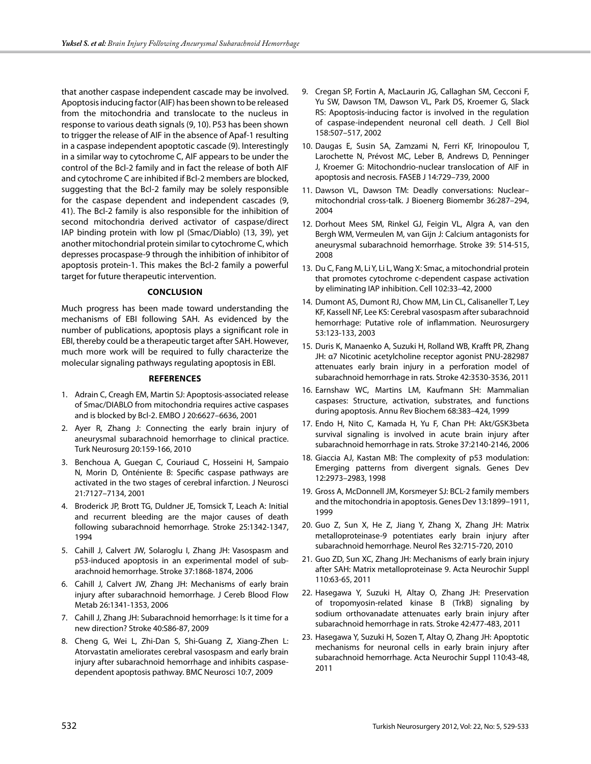that another caspase independent cascade may be involved. Apoptosis inducing factor (AIF) has been shown to be released from the mitochondria and translocate to the nucleus in response to various death signals (9, 10). P53 has been shown to trigger the release of AIF in the absence of Apaf-1 resulting in a caspase independent apoptotic cascade (9). Interestingly in a similar way to cytochrome C, AIF appears to be under the control of the Bcl-2 family and in fact the release of both AIF and cytochrome C are inhibited if Bcl-2 members are blocked, suggesting that the Bcl-2 family may be solely responsible for the caspase dependent and independent cascades (9, 41). The Bcl-2 family is also responsible for the inhibition of second mitochondria derived activator of caspase/direct IAP binding protein with low pI (Smac/Diablo) (13, 39), yet another mitochondrial protein similar to cytochrome C, which depresses procaspase-9 through the inhibition of inhibitor of apoptosis protein-1. This makes the Bcl-2 family a powerful target for future therapeutic intervention.

## **Conclusion**

Much progress has been made toward understanding the mechanisms of EBI following SAH. As evidenced by the number of publications, apoptosis plays a significant role in EBI, thereby could be a therapeutic target after SAH. However, much more work will be required to fully characterize the molecular signaling pathways regulating apoptosis in EBI.

## **References**

- 1. Adrain C, Creagh EM, Martin SJ: Apoptosis-associated release of Smac/DIABLO from mitochondria requires active caspases and is blocked by Bcl-2. EMBO J 20:6627–6636, 2001
- 2. Ayer R, Zhang J: Connecting the early brain injury of aneurysmal subarachnoid hemorrhage to clinical practice. Turk Neurosurg 20:159-166, 2010
- 3. Benchoua A, Guegan C, Couriaud C, Hosseini H, Sampaio N, Morin D, Onténiente B: Specific caspase pathways are activated in the two stages of cerebral infarction. J Neurosci 21:7127–7134, 2001
- 4. Broderick JP, Brott TG, Duldner JE, Tomsick T, Leach A: Initial and recurrent bleeding are the major causes of death following subarachnoid hemorrhage. Stroke 25:1342-1347, 1994
- 5. Cahill J, Calvert JW, Solaroglu I, Zhang JH: Vasospasm and p53-induced apoptosis in an experimental model of subarachnoid hemorrhage. Stroke 37:1868-1874, 2006
- 6. Cahill J, Calvert JW, Zhang JH: Mechanisms of early brain injury after subarachnoid hemorrhage. J Cereb Blood Flow Metab 26:1341-1353, 2006
- 7. Cahill J, Zhang JH: Subarachnoid hemorrhage: Is it time for a new direction? Stroke 40:S86-87, 2009
- 8. Cheng G, Wei L, Zhi-Dan S, Shi-Guang Z, Xiang-Zhen L: Atorvastatin ameliorates cerebral vasospasm and early brain injury after subarachnoid hemorrhage and inhibits caspasedependent apoptosis pathway. BMC Neurosci 10:7, 2009
- 9. Cregan SP, Fortin A, MacLaurin JG, Callaghan SM, Cecconi F, Yu SW, Dawson TM, Dawson VL, Park DS, Kroemer G, Slack RS: Apoptosis-inducing factor is involved in the regulation of caspase-independent neuronal cell death. J Cell Biol 158:507–517, 2002
- 10. Daugas E, Susin SA, Zamzami N, Ferri KF, Irinopoulou T, Larochette N, Prévost MC, Leber B, Andrews D, Penninger J, Kroemer G: Mitochondrio-nuclear translocation of AIF in apoptosis and necrosis. FASEB J 14:729–739, 2000
- 11. Dawson VL, Dawson TM: Deadly conversations: Nuclear– mitochondrial cross-talk. J Bioenerg Biomembr 36:287–294, 2004
- 12. Dorhout Mees SM, Rinkel GJ, Feigin VL, Algra A, van den Bergh WM, Vermeulen M, van Gijn J: Calcium antagonists for aneurysmal subarachnoid hemorrhage. Stroke 39: 514-515, 2008
- 13. Du C, Fang M, Li Y, Li L, Wang X: Smac, a mitochondrial protein that promotes cytochrome c-dependent caspase activation by eliminating IAP inhibition. Cell 102:33–42, 2000
- 14. Dumont AS, Dumont RJ, Chow MM, Lin CL, Calisaneller T, Ley KF, Kassell NF, Lee KS: Cerebral vasospasm after subarachnoid hemorrhage: Putative role of inflammation. Neurosurgery 53:123-133, 2003
- 15. Duris K, Manaenko A, Suzuki H, Rolland WB, Krafft PR, Zhang JH: α7 Nicotinic acetylcholine receptor agonist PNU-282987 attenuates early brain injury in a perforation model of subarachnoid hemorrhage in rats. Stroke 42:3530-3536, 2011
- 16. Earnshaw WC, Martins LM, Kaufmann SH: Mammalian caspases: Structure, activation, substrates, and functions during apoptosis. Annu Rev Biochem 68:383–424, 1999
- 17. Endo H, Nito C, Kamada H, Yu F, Chan PH: Akt/GSK3beta survival signaling is involved in acute brain injury after subarachnoid hemorrhage in rats. Stroke 37:2140-2146, 2006
- 18. Giaccia AJ, Kastan MB: The complexity of p53 modulation: Emerging patterns from divergent signals. Genes Dev 12:2973–2983, 1998
- 19. Gross A, McDonnell JM, Korsmeyer SJ: BCL-2 family members and the mitochondria in apoptosis. Genes Dev 13:1899–1911, 1999
- 20. Guo Z, Sun X, He Z, Jiang Y, Zhang X, Zhang JH: Matrix metalloproteinase-9 potentiates early brain injury after subarachnoid hemorrhage. Neurol Res 32:715-720, 2010
- 21. Guo ZD, Sun XC, Zhang JH: Mechanisms of early brain injury after SAH: Matrix metalloproteinase 9. Acta Neurochir Suppl 110:63-65, 2011
- 22. Hasegawa Y, Suzuki H, Altay O, Zhang JH: Preservation of tropomyosin-related kinase B (TrkB) signaling by sodium orthovanadate attenuates early brain injury after subarachnoid hemorrhage in rats. Stroke 42:477-483, 2011
- 23. Hasegawa Y, Suzuki H, Sozen T, Altay O, Zhang JH: Apoptotic mechanisms for neuronal cells in early brain injury after subarachnoid hemorrhage. Acta Neurochir Suppl 110:43-48, 2011